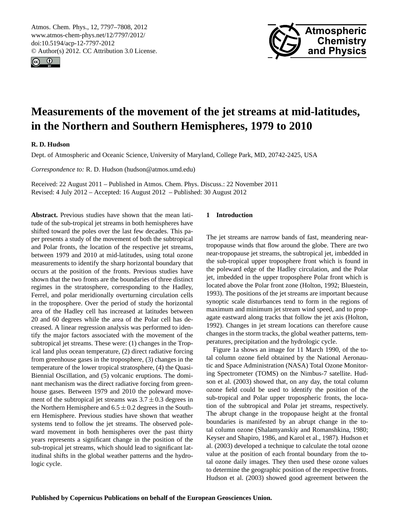<span id="page-0-0"></span>Atmos. Chem. Phys., 12, 7797–7808, 2012 www.atmos-chem-phys.net/12/7797/2012/ doi:10.5194/acp-12-7797-2012 © Author(s) 2012. CC Attribution 3.0 License.





# **Measurements of the movement of the jet streams at mid-latitudes, in the Northern and Southern Hemispheres, 1979 to 2010**

# **R. D. Hudson**

Dept. of Atmospheric and Oceanic Science, University of Maryland, College Park, MD, 20742-2425, USA

*Correspondence to:* R. D. Hudson (hudson@atmos.umd.edu)

Received: 22 August 2011 – Published in Atmos. Chem. Phys. Discuss.: 22 November 2011 Revised: 4 July 2012 – Accepted: 16 August 2012 – Published: 30 August 2012

**Abstract.** Previous studies have shown that the mean latitude of the sub-tropical jet streams in both hemispheres have shifted toward the poles over the last few decades. This paper presents a study of the movement of both the subtropical and Polar fronts, the location of the respective jet streams, between 1979 and 2010 at mid-latitudes, using total ozone measurements to identify the sharp horizontal boundary that occurs at the position of the fronts. Previous studies have shown that the two fronts are the boundaries of three distinct regimes in the stratosphere, corresponding to the Hadley, Ferrel, and polar meridionally overturning circulation cells in the troposphere. Over the period of study the horizontal area of the Hadley cell has increased at latitudes between 20 and 60 degrees while the area of the Polar cell has decreased. A linear regression analysis was performed to identify the major factors associated with the movement of the subtropical jet streams. These were: (1) changes in the Tropical land plus ocean temperature, (2) direct radiative forcing from greenhouse gases in the troposphere, (3) changes in the temperature of the lower tropical stratosphere, (4) the Quasi-Biennial Oscillation, and (5) volcanic eruptions. The dominant mechanism was the direct radiative forcing from greenhouse gases. Between 1979 and 2010 the poleward movement of the subtropical jet streams was  $3.7 \pm 0.3$  degrees in the Northern Hemisphere and  $6.5 \pm 0.2$  degrees in the Southern Hemisphere. Previous studies have shown that weather systems tend to follow the jet streams. The observed poleward movement in both hemispheres over the past thirty years represents a significant change in the position of the sub-tropical jet streams, which should lead to significant latitudinal shifts in the global weather patterns and the hydrologic cycle.

# **1 Introduction**

The jet streams are narrow bands of fast, meandering neartropopause winds that flow around the globe. There are two near-tropopause jet streams, the subtropical jet, imbedded in the sub-tropical upper troposphere front which is found in the poleward edge of the Hadley circulation, and the Polar jet, imbedded in the upper troposphere Polar front which is located above the Polar front zone (Holton, 1992; Bluestein, 1993). The positions of the jet streams are important because synoptic scale disturbances tend to form in the regions of maximum and minimum jet stream wind speed, and to propagate eastward along tracks that follow the jet axis (Holton, 1992). Changes in jet stream locations can therefore cause changes in the storm tracks, the global weather patterns, temperatures, precipitation and the hydrologic cycle.

Figure 1a shows an image for 11 March 1990, of the total column ozone field obtained by the National Aeronautic and Space Administration (NASA) Total Ozone Monitoring Spectrometer (TOMS) on the Nimbus-7 satellite. Hudson et al. (2003) showed that, on any day, the total column ozone field could be used to identify the position of the sub-tropical and Polar upper tropospheric fronts, the location of the subtropical and Polar jet streams, respectively. The abrupt change in the tropopause height at the frontal boundaries is manifested by an abrupt change in the total column ozone (Shalamyanskiy and Romanshkina, 1980; Keyser and Shapiro, 1986, and Karol et al., 1987). Hudson et al. (2003) developed a technique to calculate the total ozone value at the position of each frontal boundary from the total ozone daily images. They then used these ozone values to determine the geographic position of the respective fronts. Hudson et al. (2003) showed good agreement between the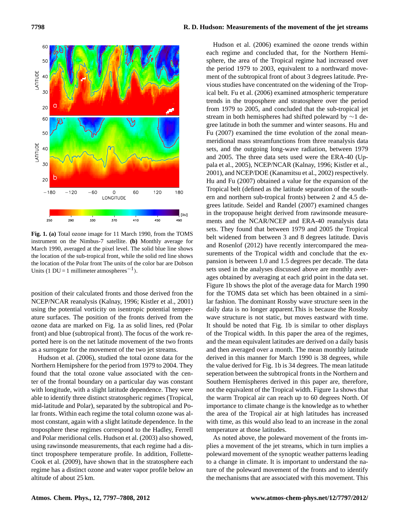

**Fig. 1. (a)** Total ozone image for 11 March 1990, from the TOMS instrument on the Nimbus-7 satellite. **(b)** Monthly average for March 1990, averaged at the pixel level. The solid blue line shows the location of the sub-tropical front, while the solid red line shows the location of the Polar front The units of the color bar are Dobson Units (1 DU = 1 millimeter atmospheres<sup>-1</sup>).

position of their calculated fronts and those derived fron the NCEP/NCAR reanalysis (Kalnay, 1996; Kistler et al., 2001) using the potential vorticity on isentropic potential temperature surfaces. The position of the fronts derived from the ozone data are marked on Fig. 1a as solid lines, red (Polar front) and blue (subtropical front). The focus of the work reported here is on the net latitude movement of the two fronts as a surrogate for the movement of the two jet streams.

Hudson et al. (2006), studied the total ozone data for the Northern Hemipshere for the period from 1979 to 2004. They found that the total ozone value associated with the center of the frontal boundary on a particular day was constant with longitude, with a slight latitude dependence. They were able to identify three distinct stratospheric regimes (Tropical, mid-latitude and Polar), separated by the subtropical and Polar fronts. Within each regime the total column ozone was almost constant, again with a slight latitude dependence. In the troposphere these regimes correspond to the Hadley, Ferrell and Polar meridional cells. Hudson et al. (2003) also showed, using rawinsonde measurements, that each regime had a distinct troposphere temperature profile. In addition, Follette-Cook et al. (2009), have shown that in the stratosphere each regime has a distinct ozone and water vapor profile below an altitude of about 25 km.

Hudson et al. (2006) examined the ozone trends within each regime and concluded that, for the Northern Hemisphere, the area of the Tropical regime had increased over the period 1979 to 2003, equivalent to a northward movement of the subtropical front of about 3 degrees latitude. Previous studies have concentrated on the widening of the Tropical belt. Fu et al. (2006) examined atmospheric temperature trends in the troposphere and stratosphere over the period from 1979 to 2005, and concluded that the sub-tropical jet stream in both hemispheres had shifted poleward by ∼1 degree latitude in both the summer and winter seasons. Hu and Fu (2007) examined the time evolution of the zonal meanmeridional mass streamfunctions from three reanalysis data sets, and the outgoing long-wave radiation, between 1979 and 2005. The three data sets used were the ERA-40 (Uppala et al., 2005), NCEP/NCAR (Kalnay, 1996; Kistler et al., 2001), and NCEP/DOE (Kanamitsu et al., 2002) respectively. Hu and Fu (2007) obtained a value for the expansion of the Tropical belt (defined as the latitude separation of the southern and northern sub-tropical fronts) between 2 and 4.5 degrees latitude. Seidel and Randel (2007) examined changes in the tropopause height derived from rawinsonde measurements and the NCAR/NCEP and ERA-40 reanalysis data sets. They found that between 1979 and 2005 the Tropical belt widened from between 3 and 8 degrees latitude. Davis and Rosenlof (2012) have recently intercompared the measurements of the Tropical width and conclude that the expansion is between 1.0 and 1.5 degrees per decade. The data sets used in the analyses discussed above are monthly averages obtained by averaging at each grid point in the data set. Figure 1b shows the plot of the average data for March 1990 for the TOMS data set which has been obtained in a similar fashion. The dominant Rossby wave structure seen in the daily data is no longer apparent.This is because the Rossby wave structure is not static, but moves eastward with time. It should be noted that Fig. 1b is similar to other displays of the Tropical width. In this paper the area of the regimes, and the mean equivalent latitudes are derived on a daily basis and then averaged over a month. The mean monthly latitude derived in this manner for March 1990 is 38 degrees, while the value derived for Fig. 1b is 34 degrees. The mean latitude seperation between the subtropical fronts in the Northern and Southern Hemispheres derived in this paper are, therefore, not the equivalent of the Tropical width. Figure 1a shows that the warm Tropical air can reach up to 60 degrees North. Of importance to climate change is the knowledge as to whether the area of the Tropical air at high latitudes has increased with time, as this would also lead to an increase in the zonal temperature at those latitudes.

As noted above, the poleward movement of the fronts implies a movement of the jet streams, which in turn implies a poleward movement of the synoptic weather patterns leading to a change in climate. It is important to understand the nature of the poleward movement of the fronts and to identify the mechanisms that are associated with this movement. This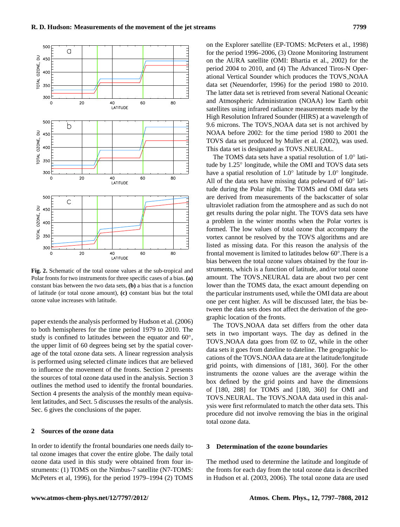

**Fig. 2.** Schematic of the total ozone values at the sub-tropical and Polar fronts for two instruments for three specific cases of a bias. **(a)** constant bias between the two data sets, **(b)** a bias that is a function of latitude (or total ozone amount), **(c)** constant bias but the total ozone value increases with latitude.

paper extends the analysis performed by Hudson et al. (2006) to both hemispheres for the time period 1979 to 2010. The study is confined to latitudes between the equator and 60°, the upper limit of 60 degrees being set by the spatial coverage of the total ozone data sets. A linear regression analysis is performed using selected climate indices that are believed to influence the movement of the fronts. Section 2 presents the sources of total ozone data used in the analysis. Section 3 outlines the method used to identify the frontal boundaries. Section 4 presents the analysis of the monthly mean equivalent latitudes, and Sect. 5 discusses the results of the analysis. Sec. 6 gives the conclusions of the paper.

# **2 Sources of the ozone data**

In order to identify the frontal boundaries one needs daily total ozone images that cover the entire globe. The daily total ozone data used in this study were obtained from four instruments: (1) TOMS on the Nimbus-7 satellite (N7-TOMS: McPeters et al, 1996), for the period 1979–1994 (2) TOMS

on the Explorer satellite (EP-TOMS: McPeters et al., 1998) for the period 1996–2006, (3) Ozone Monitoring Instrument on the AURA satellite (OMI: Bhartia et al., 2002) for the period 2004 to 2010, and (4) The Advanced Tiros-N Operational Vertical Sounder which produces the TOVS NOAA data set (Neuendorfer, 1996) for the period 1980 to 2010. The latter data set is retrieved from several National Oceanic and Atmospheric Administration (NOAA) low Earth orbit satellites using infrared radiance measurements made by the High Resolution Infrared Sounder (HIRS) at a wavelength of 9.6 microns. The TOVS NOAA data set is not archived by NOAA before 2002: for the time period 1980 to 2001 the TOVS data set produced by Muller et al. (2002), was used. This data set is designated as TOVS NEURAL.

The TOMS data sets have a spatial resolution of 1.0◦ latitude by 1.25◦ longitude, while the OMI and TOVS data sets have a spatial resolution of 1.0° latitude by 1.0° longitude. All of the data sets have missing data poleward of 60° latitude during the Polar night. The TOMS and OMI data sets are derived from measurements of the backscatter of solar ultraviolet radiation from the atmosphere and as such do not get results during the polar night. The TOVS data sets have a problem in the winter months when the Polar vortex is formed. The low values of total ozone that accompany the vortex cannot be resolved by the TOVS algorithms and are listed as missing data. For this reason the analysis of the frontal movement is limited to latitudes below 60◦ .There is a bias between the total ozone values obtained by the four instruments, which is a function of latitude, and/or total ozone amount. The TOVS NEURAL data are about two per cent lower than the TOMS data, the exact amount depending on the particular instruments used, while the OMI data are about one per cent higher. As will be discussed later, the bias between the data sets does not affect the derivation of the geographic location of the fronts.

The TOVS NOAA data set differs from the other data sets in two important ways. The day as defined in the TOVS NOAA data goes from 0Z to 0Z, while in the other data sets it goes from dateline to dateline. The geographic locations of the TOVS NOAA data are at the latitude/longitude grid points, with dimensions of [181, 360]. For the other instruments the ozone values are the average within the box defined by the grid points and have the dimensions of [180, 288] for TOMS and [180, 360] for OMI and TOVS NEURAL. The TOVS NOAA data used in this analysis were first reformulated to match the other data sets. This procedure did not involve removing the bias in the original total ozone data.

#### **3 Determination of the ozone boundaries**

The method used to determine the latitude and longitude of the fronts for each day from the total ozone data is described in Hudson et al. (2003, 2006). The total ozone data are used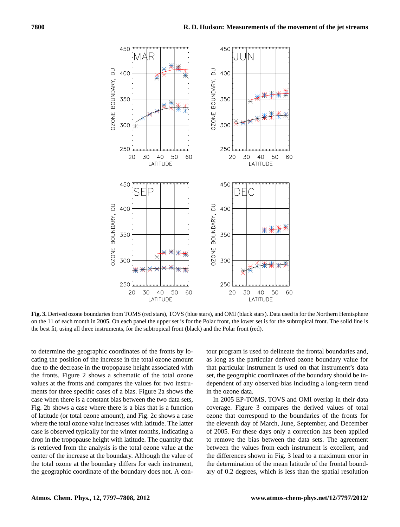

**Fig. 3.** Derived ozone boundaries from TOMS (red stars), TOVS (blue stars), and OMI (black stars). Data used is for the Northern Hemisphere on the 11 of each month in 2005. On each panel the upper set is for the Polar front, the lower set is for the subtropical front. The solid line is the best fit, using all three instruments, for the subtropical front (black) and the Polar front (red).

to determine the geographic coordinates of the fronts by locating the position of the increase in the total ozone amount due to the decrease in the tropopause height associated with the fronts. Figure 2 shows a schematic of the total ozone values at the fronts and compares the values for two instruments for three specific cases of a bias. Figure 2a shows the case when there is a constant bias between the two data sets, Fig. 2b shows a case where there is a bias that is a function of latitude (or total ozone amount), and Fig. 2c shows a case where the total ozone value increases with latitude. The latter case is observed typically for the winter months, indicating a drop in the tropopause height with latitude. The quantity that is retrieved from the analysis is the total ozone value at the center of the increase at the boundary. Although the value of the total ozone at the boundary differs for each instrument, the geographic coordinate of the boundary does not. A contour program is used to delineate the frontal boundaries and, as long as the particular derived ozone boundary value for that particular instrument is used on that instrument's data set, the geographic coordinates of the boundary should be independent of any observed bias including a long-term trend in the ozone data.

In 2005 EP-TOMS, TOVS and OMI overlap in their data coverage. Figure 3 compares the derived values of total ozone that correspond to the boundaries of the fronts for the eleventh day of March, June, September, and December of 2005. For these days only a correction has been applied to remove the bias between the data sets. The agreement between the values from each instrument is excellent, and the differences shown in Fig. 3 lead to a maximum error in the determination of the mean latitude of the frontal boundary of 0.2 degrees, which is less than the spatial resolution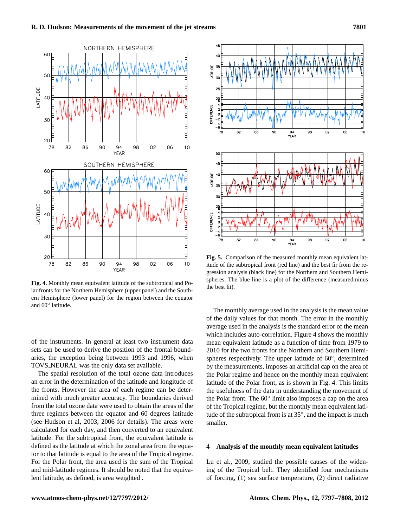

**Fig. 4.** Monthly mean equivalent latitude of the subtropical and Polar fronts for the Northern Hemisphere (upper panel) and the Southern Hemisphere (lower panel) for the region between the equator and 60◦ latitude.

of the instruments. In general at least two instrument data sets can be used to derive the position of the frontal boundaries, the exception being between 1993 and 1996, when TOVS NEURAL was the only data set available.

The spatial resolution of the total ozone data introduces an error in the determination of the latitude and longitude of the fronts. However the area of each regime can be determined with much greater accuracy. The boundaries derived from the total ozone data were used to obtain the areas of the three regimes between the equator and 60 degrees latitude (see Hudson et al, 2003, 2006 for details). The areas were calculated for each day, and then converted to an equivalent latitude. For the subtropical front, the equivalent latitude is defined as the latitude at which the zonal area from the equator to that latitude is equal to the area of the Tropical regime. For the Polar front, the area used is the sum of the Tropical and mid-latitude regimes. It should be noted that the equivalent latitude, as defined, is area weighted .



**Fig. 5.** Comparison of the measured monthly mean equivalent latitude of the subtropical front (red line) and the best fir from the regression analysis (black line) for the Northern and Southern Hemispheres. The blue line is a plot of the difference (measuredminus the best fit).

The monthly average used in the analysis is the mean value of the daily values for that month. The error in the monthly average used in the analysis is the standard error of the mean which includes auto-correlation. Figure 4 shows the monthly mean equivalent latitude as a function of time from 1979 to 2010 for the two fronts for the Northern and Southern Hemispheres respectively. The upper latitude of 60°, determined by the measurements, imposes an artificial cap on the area of the Polar regime and hence on the monthly mean equivalent latitude of the Polar front, as is shown in Fig. 4. This limits the usefulness of the data in understanding the movement of the Polar front. The 60◦ limit also imposes a cap on the area of the Tropical regime, but the monthly mean equivalent latitude of the subtropical front is at 35◦ , and the impact is much smaller.

## **4 Analysis of the monthly mean equivalent latitudes**

Lu et al., 2009, studied the possible causes of the widening of the Tropical belt. They identified four mechanisms of forcing, (1) sea surface temperature, (2) direct radiative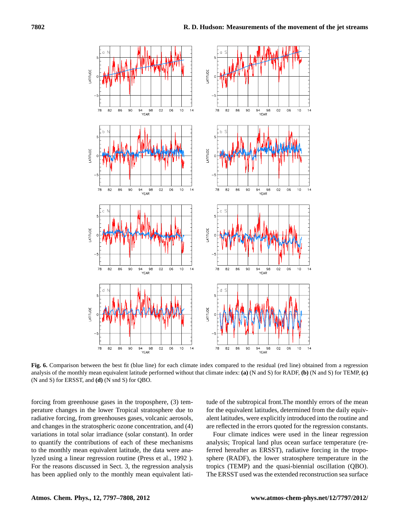

**Fig. 6.** Comparison between the best fit (blue line) for each climate index compared to the residual (red line) obtained from a regression analysis of the monthly mean equivalent latitude performed without that climate index: **(a)** (N and S) for RADF, **(b)** (N and S) for TEMP, **(c)** (N and S) for ERSST, and **(d)** (N snd S) for QBO.

forcing from greenhouse gases in the troposphere, (3) temperature changes in the lower Tropical stratosphere due to radiative forcing, from greenhouses gases, volcanic aerosols, and changes in the stratospheric ozone concentration, and (4) variations in total solar irradiance (solar constant). In order to quantify the contributions of each of these mechanisms to the monthly mean equivalent latitude, the data were analyzed using a linear regression routine (Press et al., 1992 ). For the reasons discussed in Sect. 3, the regression analysis has been applied only to the monthly mean equivalent latitude of the subtropical front.The monthly errors of the mean for the equivalent latitudes, determined from the daily equivalent latitudes, were explicitly introduced into the routine and are reflected in the errors quoted for the regression constants.

Four climate indices were used in the linear regression analysis; Tropical land plus ocean surface temperature (referred hereafter as ERSST), radiative forcing in the troposphere (RADF), the lower stratosphere temperature in the tropics (TEMP) and the quasi-biennial oscillation (QBO). The ERSST used was the extended reconstruction sea surface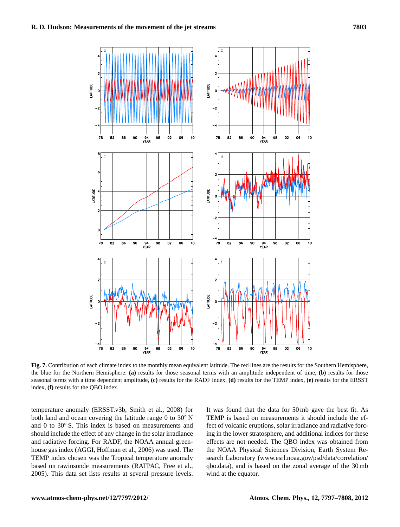

**Fig. 7.** Contribution of each climate index to the monthly mean equivalent latitude. The red lines are the results for the Southern Hemisphere, the blue for the Northern Hemisphere: **(a)** results for those seasonal terms with an amplitude independent of time, **(b)** results for those seasonal terms with a time dependent amplitude, **(c)** results for the RADF index, **(d)** results for the TEMP index, **(e)** results for the ERSST index, **(f)** results for the QBO index.

temperature anomaly (ERSST.v3b, Smith et al., 2008) for both land and ocean covering the latitude range 0 to  $30°$  N and 0 to 30° S. This index is based on measurements and should include the effect of any change in the solar irradiance and radiative forcing. For RADF, the NOAA annual greenhouse gas index (AGGI, Hoffman et al., 2006) was used. The TEMP index chosen was the Tropical temperature anomaly based on rawinsonde measurements (RATPAC, Free et al., 2005). This data set lists results at several pressure levels.

It was found that the data for 50 mb gave the best fit. As TEMP is based on measurements it should include the effect of volcanic eruptions, solar irradiance and radiative forcing in the lower stratosphere, and additional indices for these effects are not needed. The QBO index was obtained from the NOAA Physical Sciences Division, Earth System Research Laboratory [\(www.esrl.noaa.gov/psd/data/correlation/](www.esrl.noaa.gov/psd/data/correlation/qbo.data) [qbo.data\)](www.esrl.noaa.gov/psd/data/correlation/qbo.data), and is based on the zonal average of the 30 mb wind at the equator.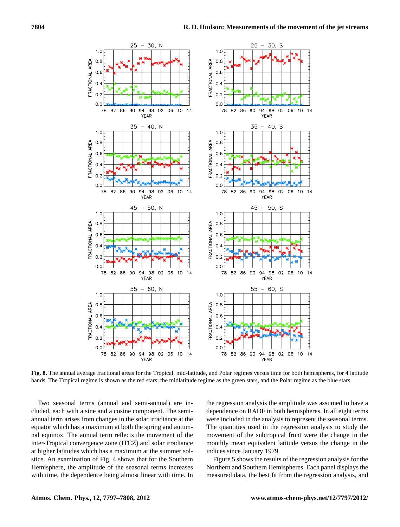

**Fig. 8.** The annual average fractional areas for the Tropical, mid-latitude, and Polar regimes versus time for both hemispheres, for 4 latitude bands. The Tropical regime is shown as the red stars; the midlatitude regime as the green stars, and the Polar regime as the blue stars.

Two seasonal terms (annual and semi-annual) are included, each with a sine and a cosine component. The semiannual term arises from changes in the solar irradiance at the equator which has a maximum at both the spring and autumnal equinox. The annual term reflects the movement of the inter-Tropical convergence zone (ITCZ) and solar irradiance at higher latitudes which has a maximum at the summer solstice. An examination of Fig. 4 shows that for the Southern Hemisphere, the amplitude of the seasonal terms increases with time, the dependence being almost linear with time. In the regression analysis the amplitude was assumed to have a dependence on RADF in both hemispheres. In all eight terms were included in the analysis to represent the seasonal terms. The quantities used in the regression analysis to study the movement of the subtropical front were the change in the monthly mean equivalent latitude versus the change in the indices since January 1979.

Figure 5 shows the results of the regression analysis for the Northern and Southern Hemispheres. Each panel displays the measured data, the best fit from the regression analysis, and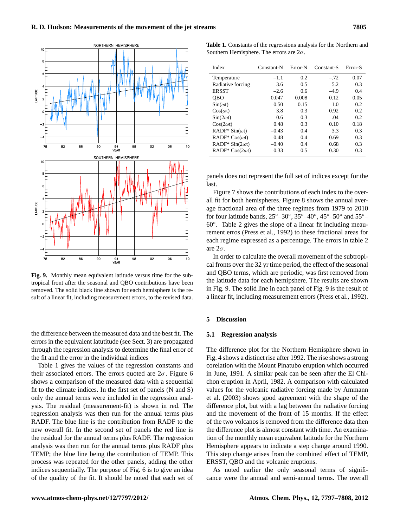

**Fig. 9.** Monthly mean equivalent latitude versus time for the subtropical front after the seasonal and QBO contributions have been removed. The solid black line shown for each hemisphere is the result of a linear fit, including measurement errors, to the revised data.

the difference between the measured data and the best fit. The errors in the equivalent latutitude (see Sect. 3) are propagated through the regression analysis to determine the final error of the fit and the error in the individual indices

Table 1 gives the values of the regression constants and their associated errors. The errors quoted are  $2\sigma$ . Figure 6 shows a comparison of the measured data with a sequential fit to the climate indices. In the first set of panels (N and S) only the annual terms were included in the regression analysis. The residual (measurement-fit) is shown in red. The regression analysis was then run for the annual terms plus RADF. The blue line is the contribution from RADF to the new overall fit. In the second set of panels the red line is the residual for the annual terms plus RADF. The regression analysis was then run for the annual terms plus RADF plus TEMP; the blue line being the contribution of TEMP. This process was repeated for the other panels, adding the other indices sequentially. The purpose of Fig. 6 is to give an idea of the quality of the fit. It should be noted that each set of

**Table 1.** Constants of the regressions analysis for the Northern and Southern Hemisphere. The errors are  $2\sigma$ .

| Index                  | Constant-N | Error-N | Constant-S | Error-S |
|------------------------|------------|---------|------------|---------|
| Temperature            | $-1.1$     | 0.2     | $-.72$     | 0.07    |
| Radiative forcing      | 3.6        | 0.5     | 5.2        | 0.3     |
| <b>ERSST</b>           | $-2.6$     | 0.6     | $-4.9$     | 0.4     |
| <b>OBO</b>             | 0.047      | 0.008   | 0.12       | 0.05    |
| $\sin(\omega t)$       | 0.50       | 0.15    | $-1.0$     | 0.2     |
| $Cos(\omega t)$        | 3.8        | 0.3     | 0.92       | 0.2     |
| $Sin(2\omega t)$       | $-0.6$     | 0.3     | $-.04$     | 0.2     |
| $Cos(2\omega t)$       | 0.48       | 0.3     | 0.10       | 0.18    |
| RADF* $Sin(\omega t)$  | $-0.43$    | 0.4     | 3.3        | 0.3     |
| RADF* $Cos(\omega t)$  | $-0.48$    | 0.4     | 0.69       | 0.3     |
| RADF* $Sin(2\omega t)$ | $-0.40$    | 0.4     | 0.68       | 0.3     |
| RADF* $Cos(2\omega t)$ | $-0.33$    | 0.5     | 0.30       | 0.3     |

panels does not represent the full set of indices except for the last.

Figure 7 shows the contributions of each index to the overall fit for both hemispheres. Figure 8 shows the annual average fractional area of the three regimes from 1979 to 2010 for four latitude bands,  $25^{\circ} - 30^{\circ}$ ,  $35^{\circ} - 40^{\circ}$ ,  $45^{\circ} - 50^{\circ}$  and  $55^{\circ} -$ 60◦ . Table 2 gives the slope of a linear fit including meaurement erros (Press et al., 1992) to these fractional areas for each regime expressed as a percentage. The errors in table 2 are  $2\sigma$ .

In order to calculate the overall movement of the subtropical fronts over the 32 yr time period, the effect of the seasonal and QBO terms, which are periodic, was first removed from the latitude data for each hemipshere. The results are shown in Fig. 9. The solid line in each panel of Fig. 9 is the result of a linear fit, including measurement errors (Press et al., 1992).

#### **5 Discussion**

#### **5.1 Regression analysis**

The difference plot for the Northern Hemisphere shown in Fig. 4 shows a distinct rise after 1992. The rise shows a strong corelation with the Mount Pinatubo eruption which occurred in June, 1991. A similar peak can be seen after the El Chichon eruption in April, 1982. A comparison with calculated values for the volcanic radiative forcing made by Ammann et al. (2003) shows good agreement with the shape of the difference plot, but with a lag between the radiative forcing and the movement of the front of 15 months. If the effect of the two volcanos is removed from the difference data then the difference plot is almost constant with time. An examination of the monthly mean equivalent latitude for the Northern Hemisphere appears to indicate a step change around 1990. This step change arises from the combined effect of TEMP, ERSST, QBO and the volcanic eruptions.

As noted earlier the only seasonal terms of significance were the annual and semi-annual terms. The overall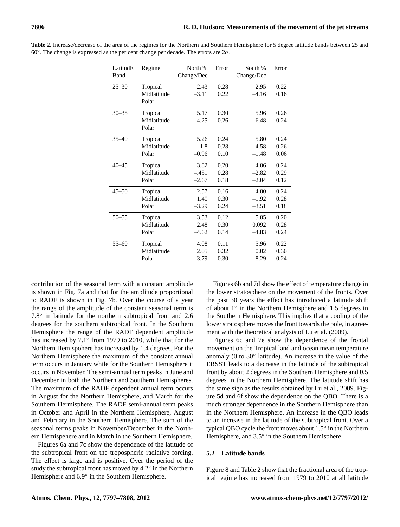| LatitudE<br>Band | Regime      | North %<br>Change/Dec | Error | South %<br>Change/Dec | Error |
|------------------|-------------|-----------------------|-------|-----------------------|-------|
| $25 - 30$        | Tropical    | 2.43                  | 0.28  | 2.95                  | 0.22. |
|                  | Midlatitude | $-3.11$               | 0.22  | $-4.16$               | 0.16  |
|                  | Polar       |                       |       |                       |       |
| $30 - 35$        | Tropical    | 5.17                  | 0.30  | 5.96                  | 0.26  |
|                  | Midlatitude | $-4.25$               | 0.26  | $-6.48$               | 0.24  |
|                  | Polar       |                       |       |                       |       |
| $35 - 40$        | Tropical    | 5.26                  | 0.24  | 5.80                  | 0.24  |
|                  | Midlatitude | $-1.8$                | 0.28  | $-4.58$               | 0.26  |
|                  | Polar       | $-0.96$               | 0.10  | $-1.48$               | 0.06  |
| $40 - 45$        | Tropical    | 3.82                  | 0.20  | 4.06                  | 0.24  |
|                  | Midlatitude | $-.451$               | 0.28  | $-2.82$               | 0.29  |
|                  | Polar       | $-2.67$               | 0.18  | $-2.04$               | 0.12  |
| $45 - 50$        | Tropical    | 2.57                  | 0.16  | 4.00                  | 0.24  |
|                  | Midlatitude | 1.40                  | 0.30  | $-1.92$               | 0.28  |
|                  | Polar       | $-3.29$               | 0.24  | $-3.51$               | 0.18  |
| $50 - 55$        | Tropical    | 3.53                  | 0.12  | 5.05                  | 0.20  |
|                  | Midlatitude | 2.48                  | 0.30  | 0.092                 | 0.28  |
|                  | Polar       | $-4.62$               | 0.14  | $-4.83$               | 0.24  |
| $55 - 60$        | Tropical    | 4.08                  | 0.11  | 5.96                  | 0.22  |
|                  | Midlatitude | 2.05                  | 0.32  | 0.02                  | 0.30  |
|                  | Polar       | $-3.79$               | 0.30  | $-8.29$               | 0.24  |
|                  |             |                       |       |                       |       |

**Table 2.** Increase/decrease of the area of the regimes for the Northern and Southern Hemisphere for 5 degree latitude bands between 25 and 60◦ . The change is expressed as the per cent change per decade. The errors are 2σ.

contribution of the seasonal term with a constant amplitude is shown in Fig. 7a and that for the amplitude proportional to RADF is shown in Fig. 7b. Over the course of a year the range of the amplitude of the constant seasonal term is 7.8◦ in latitude for the northern subtropical front and 2.6 degrees for the southern subtropical front. In the Southern Hemisphere the range of the RADF dependent amplitude has increased by  $7.1°$  from 1979 to 2010, while that for the Northern Hemispohere has increased by 1.4 degrees. For the Northern Hemisphere the maximum of the constant annual term occurs in January while for the Southern Hemisphere it occurs in November. The semi-annual term peaks in June and December in both the Northern and Southern Hemispheres. The maximum of the RADF dependent annual term occurs in August for the Northern Hemisphere, and March for the Southern Hermisphere. The RADF semi-annual term peaks in October and April in the Northern Hemisphere, August and February in the Southern Hemisphere. The sum of the seasonal terms peaks in November/December in the Northern Hemispehere and in March in the Southern Hemisphere.

Figures 6a and 7c show the dependence of the latitude of the subtropical front on the tropospheric radiative forcing. The effect is large and is positive. Over the period of the study the subtropical front has moved by 4.2◦ in the Northern Hemisphere and 6.9° in the Southern Hemisphere.

Figures 6b and 7d show the effect of temperature change in the lower stratosphere on the movement of the fronts. Over the past 30 years the effect has introduced a latitude shift of about 1◦ in the Northern Hemisphere and 1.5 degrees in the Southern Hemisphere. This implies that a cooling of the lower stratosphere moves the front towards the pole, in agreement with the theoretical analysis of Lu et al. (2009).

Figures 6c and 7e show the dependence of the frontal movement on the Tropical land and ocean mean temperature anomaly (0 to 30◦ latitude). An increase in the value of the ERSST leads to a decrease in the latitude of the subtropical front by about 2 degrees in the Southern Hemisphere and 0.5 degrees in the Northern Hemisphere. The latitude shift has the same sign as the results obtained by Lu et al., 2009. Figure 5d and 6f show the dependence on the QBO. There is a much stronger dependence in the Southern Hemisphere than in the Northern Hemisphere. An increase in the QBO leads to an increase in the latitude of the subtropical front. Over a typical QBO cycle the front moves about 1.5◦ in the Northern Hemisphere, and 3.5° in the Southern Hemisphere.

# **5.2 Latitude bands**

Figure 8 and Table 2 show that the fractional area of the tropical regime has increased from 1979 to 2010 at all latitude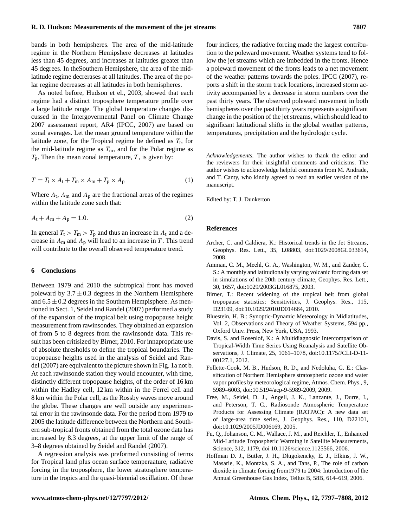bands in both hemipsheres. The area of the mid-latitude regime in the Northern Hemipshere decreases at latitudes less than 45 degrees, and increases at latitudes greater than 45 degrees. In theSouthern Hemipshere, the area of the midlatitude regime decrerases at all latitudes. The area of the polar regime decreases at all latitudes in both hemispheres.

As noted before, Hudson et el., 2003, showed that each regime had a distinct troposphere temperature profile over a large latitude range. The global temperature changes discussed in the Intergovermental Panel on Climate Change 2007 assessment report, AR4 (IPCC, 2007) are based on zonal averages. Let the mean ground temperature within the latitude zone, for the Tropical regime be defined as  $T_t$ , for the mid-latitude regime as  $T<sub>m</sub>$ , and for the Polar regime as  $T_p$ . Then the mean zonal temperature, T, is given by:

$$
T = T_{t} \times A_{t} + T_{m} \times A_{m} + T_{p} \times A_{p}
$$
 (1)

Where  $A_t$ ,  $A_m$  and  $A_p$  are the fractional areas of the regimes within the latitude zone such that:

$$
A_{t} + A_{m} + A_{p} = 1.0.
$$
 (2)

In general  $T_t > T_m > T_p$  and thus an increase in  $A_t$  and a decrease in  $A_m$  and  $A_p$  will lead to an increase in T. This trend will contribute to the overall observed temperature trend.

### **6 Conclusions**

Between 1979 and 2010 the subtropical front has moved poleward by  $3.7 \pm 0.3$  degrees in the Northern Hemisphere and  $6.5 \pm 0.2$  degrees in the Southern Hempisphere. As mentioned in Sect. 1, Seidel and Randel (2007) performed a study of the expansion of the tropical belt using tropopause height measurement from rawinsondes. They obtained an expansion of from 5 to 8 degrees from the rawinsonde data. This result has been critisized by Birner, 2010. For innapropriate use of absolute thresholds to define the tropical boundaries. The tropopause heights used in the analysis of Seidel and Randel (2007) are equivalent to the picture shown in Fig. 1a not b. At each rawinsonde station they would encounter, with time, distinctly different tropopause heights, of the order of 16 km within the Hadley cell, 12 km within in the Ferrel cell and 8 km within the Polar cell, as the Rossby waves move around the globe. These changes are well outside any experimental error in the rawinsonde data. For the period from 1979 to 2005 the latitude difference between the Northern and Southern sub-tropical fronts obtained from the total ozone data has increased by 8.3 degrees, at the upper limit of the range of 3–8 degrees obtained by Seidel and Randel (2007).

A regression analysis was preformed consisting of terms for Tropical land plus ocean surface temperaature, radiative forcing in the troposphere, the lower stratosphere temperature in the tropics and the quasi-biennial oscillation. Of these

four indices, the radiative forcing made the largest contribution to the poleward movement. Weather systems tend to follow the jet streams which are imbedded in the fronts. Hence a poleward movement of the fronts leads to a net movement of the weather patterns towards the poles. IPCC (2007), reports a shift in the storm track locations, increased storm activity accompanied by a decrease in storm numbers over the past thirty years. The observed poleward movement in both hemispheres over the past thirty years represents a significant change in the position of the jet streams, which should lead to significant latitudional shifts in the global weather patterns, temperatures, precipitation and the hydrologic cycle.

*Acknowledgements.* The author wishes to thank the editor and the reviewers for their insightful comments and criticisms. The author wishes to acknowledge helpful comments from M. Andrade, and T. Canty, who kindly agreed to read an earlier version of the manuscript.

Edited by: T. J. Dunkerton

#### **References**

- Archer, C. and Caldiera, K.: Historical trends in the Jet Streams, Geophys. Res. Lett., 35, L08803, doi:1029/2008GL033614, 2008.
- Amman, C. M., Meehl, G. A., Washington, W. M., and Zander, C. S.: A monthly and latitudionally varying volcanic forcing data set in simulations of the 20th century climate, Geophys. Res. Lett., 30, 1657, doi:1029/2003GL016875, 2003.
- Birner, T.: Recent widening of the tropical belt from global tropopause statistics: Sensitivities, J. Geophys. Res., 115, D23109, [doi:10.1029/2010JD014664,](http://dx.doi.org/10.1029/2010JD014664) 2010.
- Bluestein, H. B.: Synoptic-Dynamic Meteorology in Midlatitudes, Vol. 2, Observations and Theory of Weather Systems, 594 pp., Oxford Univ. Press, New York, USA, 1993.
- Davis, S. and Rosenlof, K.: A Multidiagnostic Intercomparison of Tropical-Width Time Series Using Reanalysis and Satellite Observations, J. Climate, 25, 1061–1078, [doi:10.1175/JCLI-D-11-](http://dx.doi.org/10.1175/JCLI-D-11-00127.1) [00127.1,](http://dx.doi.org/10.1175/JCLI-D-11-00127.1) 2012.
- Follette-Cook, M. B., Hudson, R. D., and Nedoluha, G. E.: Classification of Northern Hemisphere stratospheric ozone and water vapor profiles by meteorological regime, Atmos. Chem. Phys., 9, 5989–6003, [doi:10.5194/acp-9-5989-2009,](http://dx.doi.org/10.5194/acp-9-5989-2009) 2009.
- Free, M., Seidel, D. J., Angell, J. K., Lanzante, J., Durre, I., and Peterson, T. C., Radiosonde Atmospheric Temperature Products for Assessing Climate (RATPAC): A new data set of large-area time series, J. Geophys. Res., 110, D22101, [doi:10.1029/2005JD006169,](http://dx.doi.org/10.1029/2005JD006169) 2005.
- Fu, Q., Johanson, C. M., Wallace, J. M., and Reichler, T., Enhanced Mid-Latitude Tropospheric Warming in Satellite Measurements, Science, 312, 1179, doi 10.1126/science.1125566, 2006.
- Hoffman D. J., Butler, J. H., Dlugokencky, E. J., Elkins, J. W., Masarie, K., Montzka, S. A., and Tans, P., The role of carbon dioxide in climate forcing from1979 to 2004: Introduction of the Annual Greenhouse Gas Index, Tellus B, 58B, 614–619, 2006.